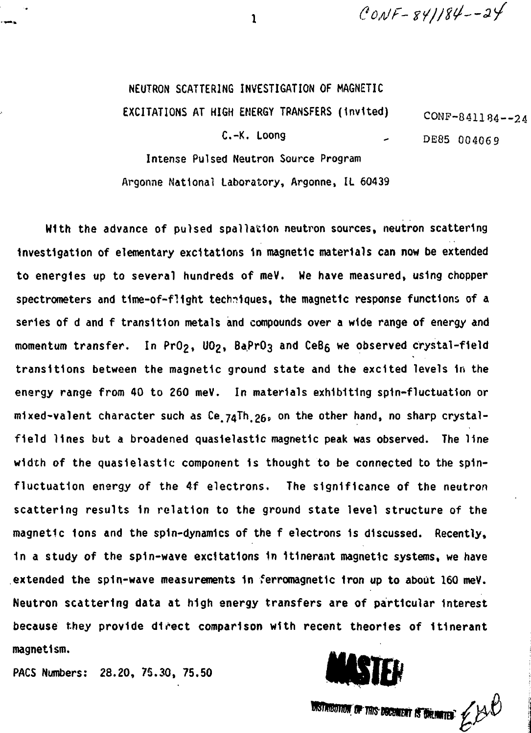$CONF - 841184 - -24$ 

# NEUTRON SCATTERING INVESTIGATION OF MAGNETIC

EXCITATIONS AT HIGH ENERGY TRANSFERS (invited)  $\text{CONF-841184--24}$ 

 $C. -K.$  Loong  $DE85004069$ 

Intense Pulsed Neutron Source Program Argonne National Laboratory, Argonne, IL 60439

With the advance of pulsed spallation neutron sources, neutron scattering Investigation of elementary excitations 1n magnetic materials can now be extended to energies up to several hundreds of meV. We have measured, using chopper spectrometers and time-of-flight techniques, the magnetic response functions of a series of d and f transition metals and compounds over a wide range of energy and momentum transfer. In PrO<sub>2</sub>, UO<sub>2</sub>, BaPrO<sub>3</sub> and CeB<sub>6</sub> we observed crystal-field transitions between the magnetic ground state and the excited levels 1n the energy range from 40 to 260 meV. In materials exhibiting spin-fluctuation or mixed-valent character such as Ce  $74\bar{1}$ h  $26_s$  on the other hand, no sharp crystalfield lines but a broadened quasielastic magnetic peak was observed. The line width of the quasielastic component 1s thought to be connected to the spinfluctuation energy of the 4f electrons. The significance of the neutron scattering results 1n relation to the ground state level structure of the magnetic Ions and the spin-dynamics of the f electrons 1s discussed. Recently, 1n a study of the spin-wave excitations In Itinerant magnetic systems, we have extended the spin-wave measurements 1n ferromagnetic Iron up to about 160 meV. Neutron scattering data at high energy transfers are of particular Interest because they provide direct comparison with recent theories of Itinerant magnet1sm.

PACS Numbers: 28.20, 75.30, 75.50



**DISTANDITION OF THIS DOCUMENT IS DIREMATED:**  $\cancel{\sim}$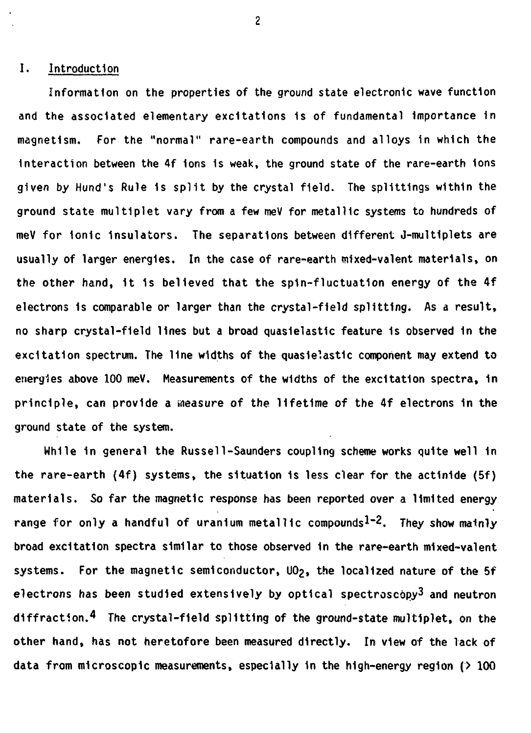## I. Introduction

Information on the properties of the ground state electronic wave function and the associated elementary excitations is of fundamental importance in magnetism. For the "normal" rare-earth compounds and alloys in which the Interaction between the 4f ions 1s weak, the ground state of the rare-earth Ions given by Hund's Rule 1s split by the crystal field. The splittings within the ground state multiplet vary from a few meV for metallic systems to hundreds of meV for Ionic Insulators. The separations between different J-mult1plets are usually of larger energies. In the case of rare-earth mixed-valent materials, on the other hand, 1t 1s believed that the spin-fluctuation energy of the 4f electrons is comparable or larger than the crystal-field splitting. As a result, no sharp crystal-field lines but a broad quasielastic feature is observed in the excitation spectrum. The line widths of the quasielastic component may extend to energies above 100 meV, Measurements of the widths of the excitation spectra, in principle, can provide a measure *of* the lifetime of the 4f electrons in the ground state of the system.

While in general the Russell-Saunders coupling scheme works quite well in the rare-earth (4f) systems, the situation is less clear for the actinide (5f) materials. So far the magnetic response has been reported over a limited energy range for only a handful of uranium metallic compounds<sup>1-2</sup>. They show mainly broad excitation spectra similar to those observed 1n the rare-earth mixed-valent systems. For the magnetic semiconductor, UO<sub>2</sub>, the localized nature of the 5f electrons has been studied extensively by optical spectroscopy<sup>3</sup> and neutron diffraction.<sup>4</sup> The crystal-field splitting of the ground-state multiplet, on the other hand, has not heretofore been measured directly. In view of the lack of data from microscopic measurements, especially in the high-energy region  $(2, 100)$ 

 $\overline{2}$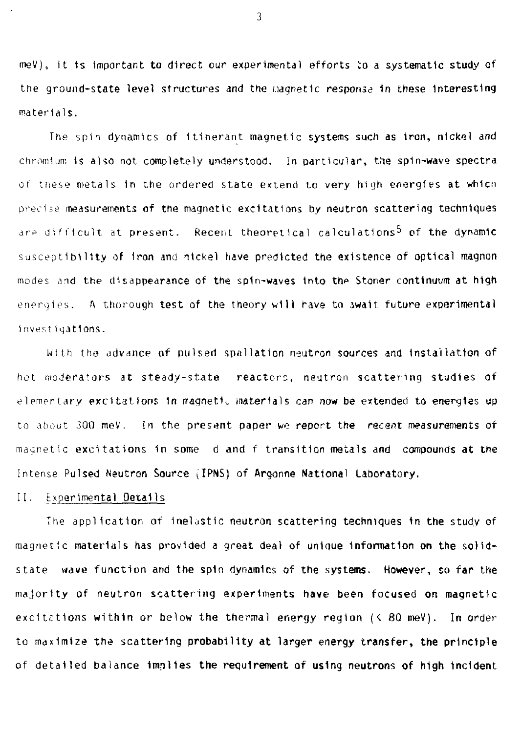meV), it is important to direct our experimental efforts to a systematic study of the ground-state level structures and the Magnetic response in these interesting materials.

The spin dynamics of Itinerant magnetic systems such as Iron, nickel and chromium 1s also not completely understood. In particular, the spin-wave spectra of these metals in the ordered state extend to very high energies at which precise measurements of the magnetic excitations by neutron scattering techniques are difficult at present. Recent theoretical calculations<sup>5</sup> of the dynamic susceptibility of Iron and nickel have predicted the existence of optical magnon modes and the disappearance of the spin-waves into the Stoner continuum at high energies. A thorough test of the theory will have to await future experimental investigations.

With the advance of pulsed spallation neutron sources and installation of hot moderators at steady-state reactors, neutron scattering studies of elementary excitations in magnetic materials can now be extended to energies up to about 300 meV. In the present paper we report the recent measurements of magnetic excitations 1n some d and f transition metals and compounds at the Intense Pulsed Neutron Source (IPNS) of Argonne National Laboratory.

#### 11. Experimental Details

The application of inelastic neutron scattering techniques in the study of magnetic materials has provided a great deal of unique information on the solidstate wave function and the spin dynamics of the systems. However, so far the majority of neutron scattering experiments have been focused on magnetic excitations within or below the thermal energy region  $(5.80 \text{ meV})$ . In order to maximize the scattering probability at larger energy transfer, the principle of detailed balance implies the requirement of using neutrons of high incident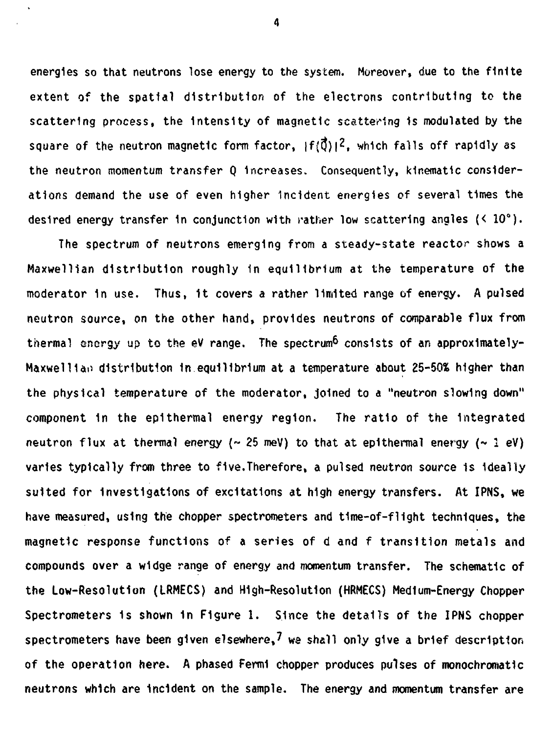**energies so that neutrons lose energy to the system. Moreover, due to the finite extent of the spatial distribution of the electrons contributing to the scattering process, the Intensity of magnetic scattering 1s modulated by the** square of the neutron magnetic form factor,  $|f(\vec{Q})|^2$ , which falls off rapidly as **the neutron momentum transfer Q Increases. Consequently, kinematic considerations demand the use of even higher Incident energies of several times the desired energy transfer 1n conjunction with rather low scattering angles (< 10°).**

**The spectrum of neutrons emerging from a steady-state reactor shows a** Maxwellian distribution roughly in equilibrium at the temperature of the **moderator 1n use. Thus, 1t covers a rather limited range of energy, A pulsed neutron source, on the other hand, provides neutrons of comparable flux from** thermal energy up to the eV range. The spectrum<sup>6</sup> consists of an approximately-**MaxwelHao distribution In equilibrium at a temperature about 25-50\* higher than the physical temperature of the moderator, joined to a "neutron slowing down" component 1n the epithermal energy region. The ratio of the Integrated** neutron flux at thermal energy  $\left(\sim 25 \text{ meV}\right)$  to that at epithermal energy  $\left(\sim 1 \text{ eV}\right)$ **varies typically from three to five.Therefore, a pulsed neutron source 1s Ideally suited for investigations of excitations at high energy transfers. At IPNS, we have measured, using the chopper spectrometers and time-of-flight techniques, the magnetic response functions of a series of d and f transition metals and compounds over a widge range of energy and momentum transfer. The schematic of the Low-Resolution (LRMECS) and High-Resolution (HRMECS) Medium-Energy Chopper Spectrometers 1s shown 1n Figure 1. Since the details of the IPNS chopper spectrometers have been given elsewhere,? we shall only give a brief description of the operation here. A phased Fermi chopper produces pulses of monochromatic neutrons which are incident on the sample. The energy and momentum transfer are**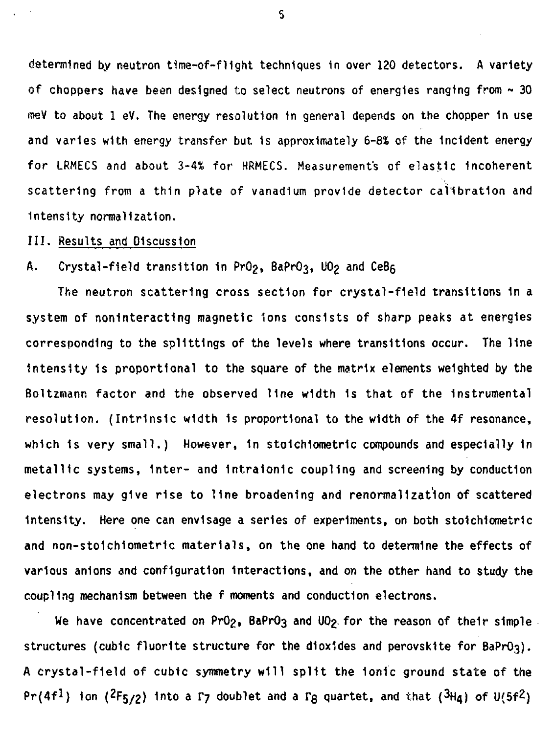**determined by neutron t1me-of~fl1ght techniques 1n over 120 detectors. A variety of choppers have been designed to select neutrons of energies ranging from ~ 30 meV to about 1 eV. The energy resolution In general depends on the chopper 1n use and varies with energy transfer but. 1s approximately 6-8% of the Incident energy for LRMECS and about 3-4\* for HRMECS. Measurements of elastic Incoherent scattering from a thin plate of vanadium provide detector calibration and Intensity normalization.**

**III. Results and Discussion**

## **A. Crystal-field transition 1n PrOg, BaPrQ3, UOg and**

**The neutron scattering cross section for crystal-field transitions 1n a system of noninteracting magnetic Ions consists of sharp peaks at energies corresponding to the splittings of the levels where transitions occur. The line Intensity 1s proportional to the square of the matrix elements weighted by the Boltzmann factor and the observed line width 1s that of the Instrumental resolution. (Intrinsic width 1s proportional to the width of the 4f resonance, which 1s very small.) However, 1n stoichiometric compounds and especially 1n metallic systems, Inter- and 1ntra1on1c coupling and screening by conduction electrons may give rise to line broadening and renormalizat'lon of scattered Intensity. Here one can envisage a series of experiments, on both sto1ch1ometr1c and non-sto1ch1ometric materials, on the one hand to determine the effects of various anions and configuration Interactions, and on the other hand to study the coupling mechanism between the f moments and conduction electrons.**

We have concentrated on PrO<sub>2</sub>**, BaPrO3** and UO<sub>2</sub> for the reason of their simple. **structures (cubic fluorite structure for the dioxides and perovskite for BaPrO3). A crystal-field of cubic symmetry will split the Ionic ground state of the**  $Pr(4f<sup>1</sup>)$  ion ( $2F_{5/2}$ ) into a  $\Gamma$ <sub>7</sub> doublet and a  $\Gamma$ <sub>B</sub> quartet, and that ( $3H$ <sub>4</sub>) of U( $5f<sup>2</sup>$ )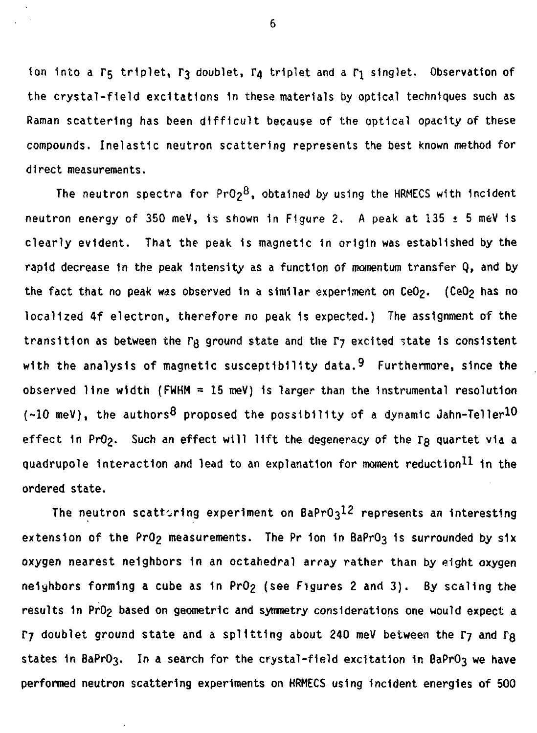1on into a  $\Gamma_5$  triplet,  $\Gamma_3$  doublet,  $\Gamma_4$  triplet and a  $\Gamma_1$  singlet. Observation of **the crystal-field excitations In these materials by optical techniques such as Raman scattering has been difficult because of the optical opacity of these compounds. Inelastic neutron scattering represents the best known method for direct measurements.**

The neutron spectra for PrO<sub>2</sub><sup>8</sup>, obtained by using the HRMECS with incident **neutron energy of 350 meV, 1s shown in Figure 2. A peak at 135 ± 5 meV 1s clearly evident. That the peak is magnetic in origin was established by the rapid decrease In the peak Intensity as a function of momentum transfer Q, and by the fact that no peak was observed in a similar experiment on CeOg. (CeOg has no localized 4f electron, therefore no peak 1s expected.) The assignment of the** transition as between the  $\Gamma_B$  ground state and the  $\Gamma_J$  excited state is consistent **with the analysis of magnetic susceptibility data.9 Furthermore, since the observed line width (FWHM = 15 meV) is larger than the Instrumental resolution**  $(-10 \text{ meV})$ , the authors<sup>8</sup> proposed the possibility of a dynamic Jahn-Teller<sup>10</sup> effect in PrO<sub>2</sub>. Such an effect will lift the degeneracy of the  $\Gamma_{\text{Q}}$  quartet via a quadrupole interaction and lead to an explanation for moment reduction<sup>11</sup> in the **ordered state.**

The neutron scattoring experiment on BaPrO<sub>3</sub>12 represents an interesting extension of the PrO<sub>2</sub> measurements. The Pr ion in BaPrO<sub>3</sub> is surrounded by six **oxygen nearest neighbors 1n an octahedral array rather than by eight oxygen** neighbors forming a cube as in PrO<sub>2</sub> (see Figures 2 and 3). By scaling the results in Pr0<sub>2</sub> based on geometric and symmetry considerations one would expect a **F7** doublet ground state and a splitting about 240 meV between the F7 and Fg states in BaPrO<sub>3</sub>. In a search for the crystal-field excitation in BaPrO<sub>3</sub> we have **performed neutron scattering experiments on HRMECS using incident energies of 500**

 $\ddot{\phantom{0}}$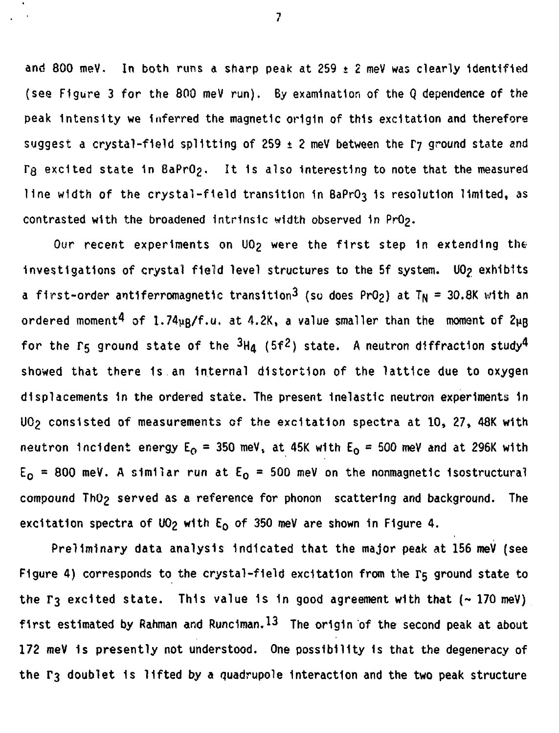and 800 meV. In both runs a sharp peak at 259  $\pm$  2 meV was clearly identified (see Figure 3 for the 800 meV run). By examination of the Q dependence of the peak Intensity we inferred the magnetic origin of this excitation and therefore suggest a crystal-field splitting of 259  $\pm$  2 meV between the  $\Gamma$ 7 ground state and Tg excited state in BaPrO<sub>2</sub>. It is also interesting to note that the measured line width of the crystal-field transition in BaPrO3 is resolution limited, as contrasted with the broadened intrinsic width observed in PrO2.

Our recent experiments on UO<sub>2</sub> were the first step in extending the investigations of crystal field level structures to the 5f system. UO<sub>2</sub> exhibits a first-order antiferromagnetic transition<sup>3</sup> (so does PrO<sub>2</sub>) at T<sub>N</sub> = 30.8K with an ordered moment<sup>4</sup> of 1.74<sub>kR</sub>/f.u. at 4.2K, a value smaller than the moment of 2<sub>kB</sub> for the  $\Gamma_5$  ground state of the  ${}^{3}H_d$  (5f<sup>2</sup>) state. A neutron diffraction study<sup>4</sup> showed that there 1s an Internal distortion of the lattice due to oxygen displacements 1n the ordered state. The present Inelastic neutron experiments 1n UO<sub>2</sub> consisted of measurements of the excitation spectra at 10, 27, 48K with neutron incident energy  $E_0 = 350$  meV, at 45K with  $E_0 = 500$  meV and at 296K with  $E_0$  = 800 meV. A similar run at  $E_0$  = 500 meV on the nonmagnetic isostructural compound ThO2 served as a reference for phonon scattering and background. The excitation spectra of UO<sub>2</sub> with  $E_0$  of 350 meV are shown in Figure 4.

Preliminary data analysis Indicated that the major peak at 156 meV (see Figure 4) corresponds to the crystal-field excitation from the  $\Gamma_5$  ground state to the  $\Gamma_3$  excited state. This value is in good agreement with that  $(-170 \text{ meV})$ first estimated by Rahman and Runciman.  $13$  The origin of the second peak at about 172 meV 1s presently not understood. One possibility is that the degeneracy of the  $\Gamma_3$  doublet is lifted by a quadrupole interaction and the two peak structure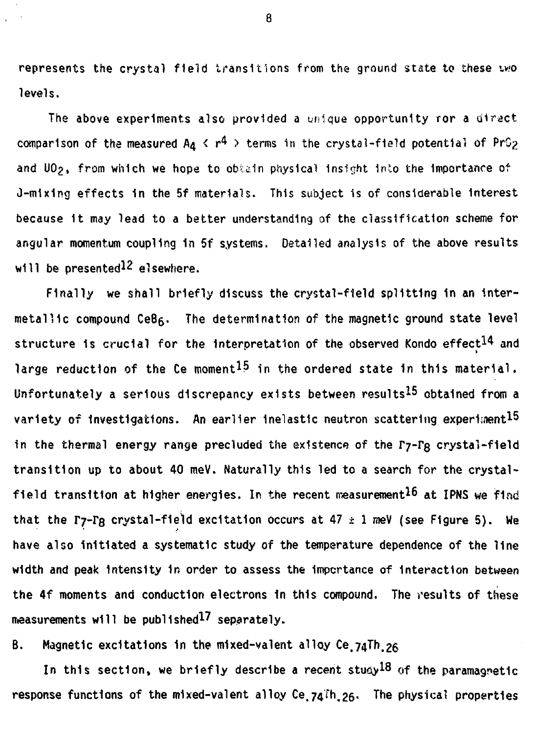represents the crystal field transitions from the ground state to these two **levels.**

**The above experiments also provided a unique opportunity ror a cilract** comparison of the measured  $A_4 \le r^4$  > terms in the crystal-field potential of PrO<sub>2</sub> **and UOg. from which we hope to obtain physical Insight Into the Importance of 0-mix1n<j effects 1n the 5f materials. This subject is of considerable Interest because 1t may lead to a better understanding of the classification scheme for angular momentum coupling 1n 5f systems. Detailed analysis of the above results** will be presented<sup>12</sup> elsewhere.

**Finally we shall briefly discuss the crystal-field splitting 1n an intermetallic compound CeBg. The determination of the magnetic ground state level** structure is crucial for the interpretation of the observed Kondo effect<sup>14</sup> and large reduction of the Ce moment<sup>15</sup> in the ordered state in this material. Unfortunately a serious discrepancy exists between results<sup>15</sup> obtained from a variety of investigations. An earlier inelastic neutron scattering experiment<sup>15</sup> in the thermal energy range precluded the existence of the  $\Gamma_7-\Gamma_8$  crystal-field **transition up to about 40 meV. Naturally this led to a search for the crystal**field transition at higher energies. In the recent measurement<sup>16</sup> at IPNS we find that the  $\Gamma$ 7- $\Gamma$ g crystal-field excitation occurs at 47  $\pm$  1 meV (see Figure 5). We **have also Initiated a systematic study of the temperature dependence of the line width and peak Intensity 1n order to assess the Importance of Interaction between the 4f moments and conduction electrons In this compound. The results of these** measurements will be published<sup>17</sup> separately.

**B. Magnetic excitations 1n the mixed-valent alloy Ce.74Th.2e**

In this section, we briefly describe a recent study<sup>18</sup> of the paramagnetic **response functions of the mixed-valent alloy Ce.74Th.26- The physical properties**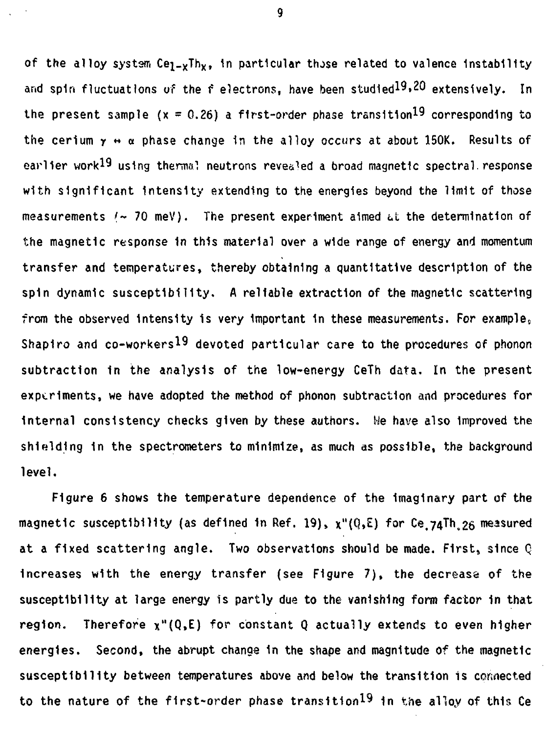of the alloy system  $C_{e_1-e}Th_x$ , in particular those related to valence instability and spin fluctuations of the f electrons, have been studied<sup>19,20</sup> extensively. In the present sample  $(x = 0.26)$  a first-order phase transition<sup>19</sup> corresponding to the cerium  $y \leftrightarrow \alpha$  phase change in the alloy occurs at about 150K. Results of earlier work<sup>19</sup> using thermal neutrons revealed a broad magnetic spectral response with significant Intensity extending to the energies beyond the limit of those measurements  $t \sim 70$  meV). The present experiment aimed at the determination of the magnetic response 1n this material over a wide range of energy and momentum transfer and temperatures, thereby obtaining a quantitative description of the spin dynamic susceptibility. A reliable extraction of the magnetic scattering from the observed intensity is very important in these measurements. For example, Shapiro and co-workers<sup>19</sup> devoted particular care to the procedures of phonon subtraction in the analysis of the low-energy CeTh data. In the present experiments, we have adopted the method of phonon subtraction and procedures for Internal consistency checks given by these authors, lie have also Improved the shielding in the spectrometers to minimize, as much as possible, the background level.

Figure 6 shows the temperature dependence of the Imaginary part of the magnetic susceptibility (as defined in Ref. 19),  $x''(Q,\mathbb{E})$  for Ce 74Th  $26$  measured at a fixed scattering angle. Two observations should be made. First, since Q Increases with the energy transfer (see Figure 7), the decrease of the susceptibility at large energy is partly due to the vanishing form factor 1n that region. Therefore  $x''(Q,E)$  for constant Q actually extends to even higher energies. Second, the abrupt change in the shape and magnitude of the magnetic susceptibility between temperatures above and below the transition is connected to the nature of the first-order phase transition<sup>19</sup> in the alloy of this Ce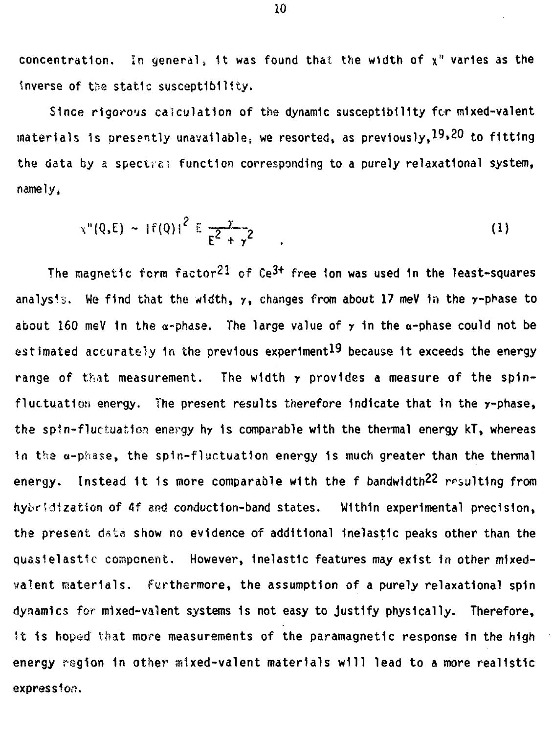concentration. In general, it was found that the width of  $x''$  varies as the Inverse of tha static susceptibility.

Since rigorous calculation of the dynamic susceptibility for mixed-valent materials is presently unavailable, we resorted, as previously,  $19,20$  to fitting the data by a spectral function corresponding to a purely relaxational system, namely,

$$
x''(Q,E) \sim |f(Q)|^2 E \frac{\gamma}{E^2 + \gamma^2} \qquad . \tag{1}
$$

The magnetic form factor $^{21}$  of Ce $^{3+}$  free ion was used in the least-squares analysis. We find that the width,  $y$ , changes from about 17 meV in the  $y$ -phase to about 160 meV in the  $\alpha$ -phase. The large value of  $\gamma$  in the  $\alpha$ -phase could not be estimated accurately in the previous experiment<sup>19</sup> because it exceeds the energy range of that measurement. The width y provides a measure of the spinfluctuation energy. The present results therefore Indicate that 1n the y-phase, the spin-fluctuation energy hy 1s comparable with the thermal energy kT, whereas In tha a-phase, the spin-fluctuation energy 1s much greater than the thermal energy. Instead it is more comparable with the  $f$  bandwidth<sup>22</sup> resulting from hybridization of 4f and conduction-band states. Within experimental precision, tha present data show no evidence of additional Inelastic peaks other than the quasielastic component. However, Inelastic features may exist In other mixedvaient materials, furthermore, the assumption of a purely relaxational spin dynamics for mixed-valent systems is not easy to justify physically. Therefore, It is hoped that more measurements of the paramagnetic response in the high energy region in other mixed-valent materials will lead to a more realistic expression.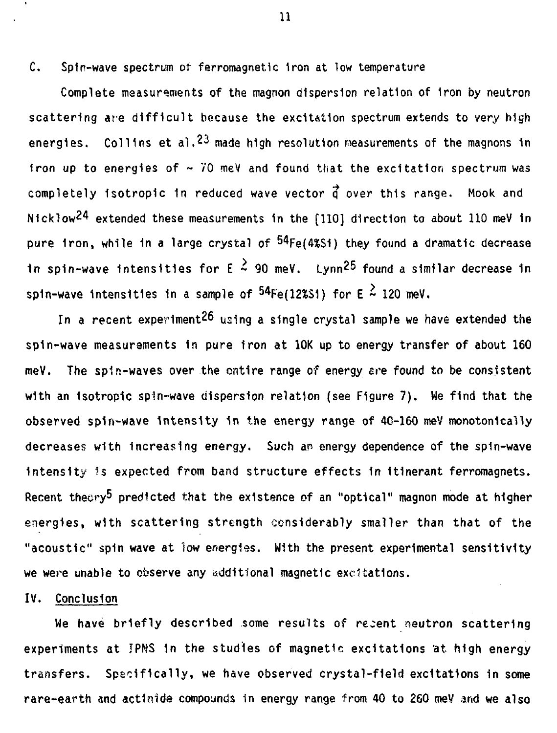C, Spin-wave spectrum of ferromagnetic Iron at low temperature

Complete measurements of the magnon dispersion relation of Iron by neutron scattering are difficult because the excitation spectrum extends to *very* high energies. Collins et al.<sup>23</sup> made high resolution measurements of the magnons in iron up to energies of  $\sim$  70 meV and found that the excitation spectrum was completely isotropic in reduced wave vector  $\vec{q}$  over this range. Mook and N1cklow24 extended these measurements 1n the [110] direction to about 110 meV 1n pure <mark>1ron, while in a large crystal of <sup>54</sup>Fe(4%Si</mark>) they found a dramatic decrease in spin-wave intensities for  $E \stackrel{>}{\sim} 90$  meV. Lynn<sup>25</sup> found a similar decrease in spin-wave intensities in a sample of  $^{54}$ Fe(12%Si) for E  $^2$  120 meV.

In a recent experiment<sup>26</sup> using a single crystal sample we have extended the spin-wave measurements In pure Iron at 10K up to energy transfer of about 160 meV. The spin-waves over the entire range of energy ere found to be consistent with an isotropic spin-wave dispersion relation (see Figure 7). We find that the observed spin-wave Intensity 1n the energy range of 40-160 mey monotonically decreases with increasing energy. Such an energy dependence of the spin-wave intensity is expected from band structure effects in itinerant ferromagnets. Recent theory<sup>5</sup> predicted that the existence of an "optical" magnon mode at higher energies, with scattering strength considerably smaller than that of the "acoustic" spin wave at low energies. With the present experimental sensitivity we were unable to observe any additional magnetic excitations.

## IV. Conclusion

We have briefly described some results of recent neutron scattering experiments at IPNS 1n the studies of magnetic excitations 'at high energy transfers. Specifically, we have observed crystal-field excitations in some rare-earth and actinide compounds 1n energy range from 40 to 260 meV and we also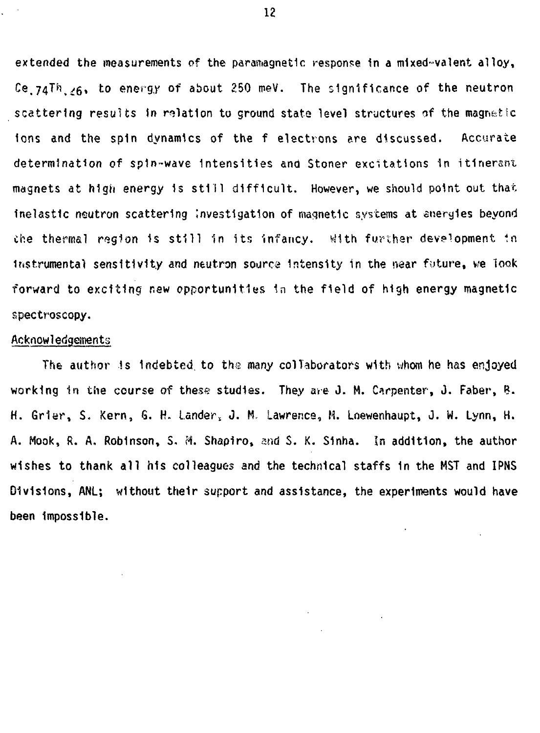**extended the measurements of the paramagnetic response 1n a mixed-vaient alloy, C®.74^,^6» t0 energy of about 250 meV. The significance of the neutron scattering results tn relation to ground stats level structures of the magnetic ions and the spin dynamics of the f electrons are discussed. Accurate determination of spin-wave Intensities and Stoner excitations In itinerant magnets at high energy 1s still difficult. However, we should point out that Inelastic neutron scattering Investigation of magnetic systems at energies beyond the therms! rngion Is still in its Infancy. ^1th further development in instrumental sensitivity and neutron source Intensity in the near future, we look forward to exciting new opportunities 1n the field of high energy magnetic spectroscopy.**

### **Acknowledgements**

**The author is Indebted to the many collaborators with whom he has enjoyed working in the course of these studies. They are J. M. Carpenter, J. Faber, B. H. Grier, S. Kern, S. H. Lander, J. M. Lawrence, H. Loewenhaupt, J. W. Lynn, H. A. Mook, R. A, Robinson, S. M. Shapiro, and S. K. S1nha. In addition, the author wishes to thank all his colleagues and the technical staffs 1n the MST and IPNS Divisions, ANL; without their support and assistance, the experiments would have been Impossible.**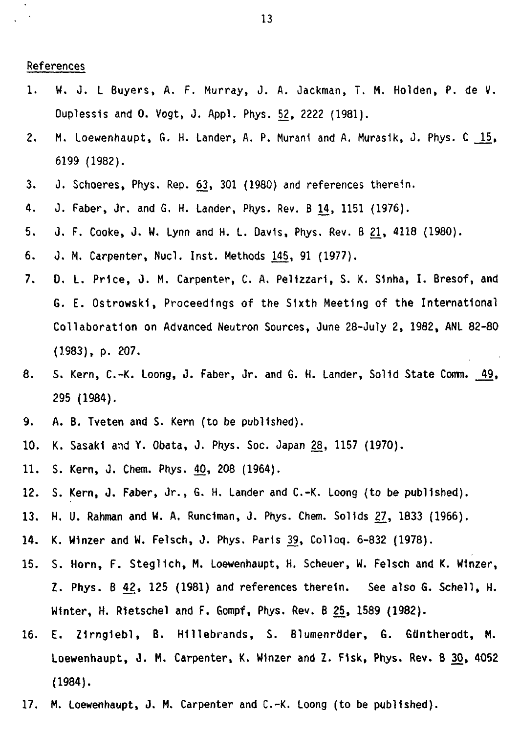#### **References**

- **1. W. J. L Buyers, A. F. Murray, J. A. Jackman, T. M. Hoiden, P. de V. Ouplessis and 0. Vogt, J. Appl. Phys. 52, 2222 (1981).**
- **2. M. loewenhaupt, G. H. Lander, A. P. Murani and A. Murasik, J. Phys. C 15, 6199 (1982).**
- **3. J. Schoeres, Phys. Rep. 63, 301 (1980) and references therein.**
- **4. J. Faber, Jr. and G. H. Lander, Phys. Rev. B 14, 1151 (1976).**
- **5. J. F. Cooke, J. W. Lynn and H. L. Davis, Phys. Rev. B 21, 4118 (1980).**
- **6. 0. M. Carpenter, Nucl. Inst. Methods 145, 91 (1977).**
- **7. 0. L. Price, J. M. Carpenter, C. A. Pelizzari, S. K. S1nha, I. Bresof, and G. E. Ostrowski, Proceedings of the Sixth Meeting of the International Collaboration on Advanced Neutron Sources, June 28-July 2, 1982, ANL 82-80 (1983), p. 207.**
- **8. S. Kern, C.-K. Loong, J. Faber, Jr. and G. H. Lander, Solid State Comm. 49, 295 (1984).**
- **9. A. B. Tveten and S. Kern (to be published).**
- **10. K. Sasaki and Y. Obata, J. Phys. Soc. Japan 28, 1157 (1970).**
- **11. S. Kern, J. Chem. Phys. 40, 208 (1964).**
- **12. S. Kern, J, Faber, Jr., G. H. Lander and C.-K. Loong (to be published).**
- **13. H. U. Rahman and W. A. Rundman, J. Phys. Chem. Sol Ids 27, 1833 (1966).**
- **14. K. Winzer and W. Felsch, J. Phys. Paris 39, Colloq. 6-832 (1978).**
- **15. S. Horn, F. Steglich, M. Loewenhaupt, H. Scheuer, W. Felsch and K. Winzer, Z. Phys. B 42, 125 (1981) and references therein. See also 6. Schell, H. Winter, H. Rietschel and F. Gompf, Phys. Rev. B 25, 1589 (1982).**
- **16. E. Z1rng1ebl, B. Hillebrands, S. Blumenrdder, G. GUntherodt, M. Loewenhaupt, J. M. Carpenter, K. Winzer and Z. F1sk, Phys. Rev. B 30, 4052 (1984).**
- **17. H. Loewenhaupt, J. M. Carpenter and C.-K. Loong (to be published).**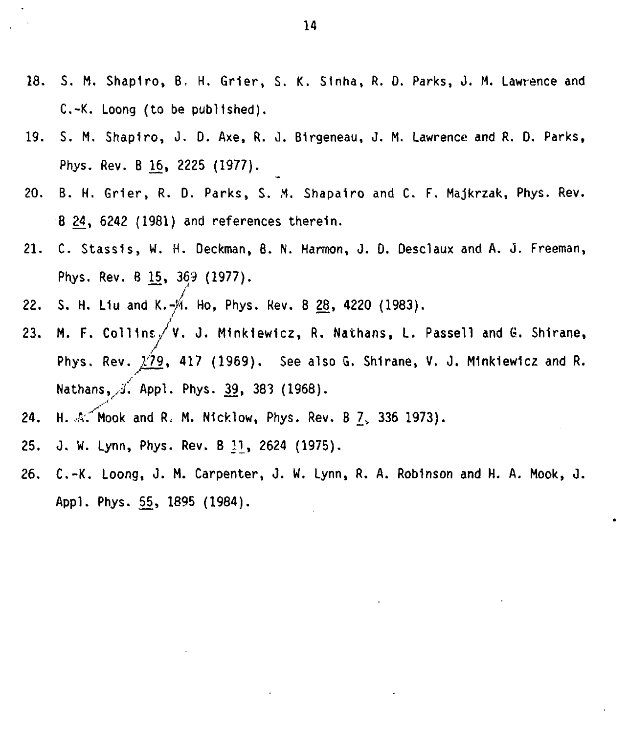- **18. S. M. Shapiro, B, H. Grier, S. K. Sinha, R. 0. Parks, J. M. Lawrence and C.-K. Loong (to be published).**
- **19. S. M. Shapiro, J. D. Axe, R. J. Birgeneau, J. M. Lawrence and R. D. Parks, Phys. Rev. B 15, 2225 (1977).**
- **20. B. H. Grier, R. 0. Parks, S. M. Shapairo and C. F. Majkrzak, Phys. Rev. B 24, 6242 (1981) and references therein.**
- **21. C. Stassis, W. H. Deckman, B. N. Harmon, J. 0. Oesclaux and A. J. Freeman, Phys. Rev. B 15, 369 (1977).**
- **22. S. H. L1u and K.-/1 Ho, Phys. Rev. 8 28, 4220 (1983).**
- **23. M. F. Coll1ns./v. J. Minkiewicz, R. Nathans, L. Passell and G. Shirane, Phys. Rev. ^79 , 417 (1969). See also G. Shirane, V. J. M1nk1ew1cz and R. Nathans,X Appl. Phys. 39, 383 (1968).**
- **24. H. .^/Mook and Ro M. Nicklow, Phys. Rev. B 7V 336 1973).**
- **25. J. W. Lynn, Phys. Rev. B 11, 2624 (1975).**
- 26. C.-K. Loong, J. M. Carpenter, J. W. Lynn, R. A. Robinson and H. A. Mook, J. **Appl. Phys. 55, 1895 (1984).**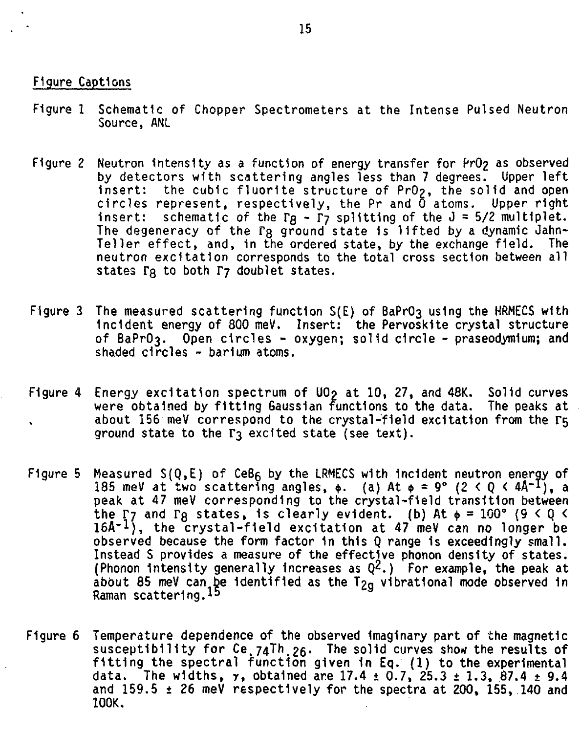## **Figure Captions**

- **Figure 1 Schematic of Chopper Spectrometers at the Intense Pulsed Neutron Source, ANl**
- Figure 2 Neutron intensity as a function of energy transfer for PrO<sub>2</sub> as observed **by detectors with scattering angles less than 7 degrees. Upper left insert: the cubic fluorite structure of PrO^, the solid and open circles represent, respectively, the Pr and 0 atoms. Upper right Insert: schematic of the VQ - Ty splitting of the J = 5/2 multiplet. The degeneracy of the VQ ground state 1s lifted by a dynamic Jahn-Teller effect, and, in the ordered state, by the exchange field. The neutron excitation corresponds to the total cross section between all states TQ to both T7 doublet states.**
- Figure 3 The measured scattering function S(E) of BaPrO<sub>3</sub> using the HRMECS with **Incident energy of 800 meV. Insert: the PervoskHe crystal structure of BaPrO3. Open circles - oxygen; solid circle - praseodymium; and shaded circles - barium atoms.**
- **Figure 4 Energy excitation spectrum of U0? at 10, 27, and 48K. Solid curves** were obtained by fitting Gaussian functions to the data. about 156 meV correspond to the crystal-field excitation from the  $r<sub>5</sub>$ **ground state to the F3 excited state (see text).**
- **Figure 5 Measured S(Q,E) of CeBg by the LRMECS with Incident neutron energy of 185 meV at two scattering angles,**  $\phi$ **.** (a) At  $\phi = 9^{\circ}$  (2 < Q < 4A<sup>-1</sup>), a **peak at 47 meV corresponding to the crystal-field transition between** the  $\Gamma$ <sub>7</sub> and  $\Gamma$ <sub>B</sub> states, is clearly evident. (b) At  $\phi = 100^{\circ}$  (9 < 0 < **16A~1), the crystal-field excitation at 47 meV can no longer be observed because the form factor 1n this Q range 1s exceedingly small. Instead S provides a measure of the effective phonon density of states.** (Phonon intensity generally increases as  $Q^2$ .) For example, the peak at **about 85 meV can be Identified as the T£g vibrational mode observed 1n Raman scattering.\*<sup>5</sup>**
- **Figure 6 Temperature dependence of the observed Imaginary part of the magnetic susceptibility for Ce.74Th.26\* The solid curves show the results of fitting the spectral function given in Eq. (1) to the experimental data. The widths, y, obtained are 17.4 t 0.7, 25.3 ± 1.3, 87.4 ± 9.4 and 159.5 ± 26 meV respectively for the spectra at 200, 155, 140 and 100K.**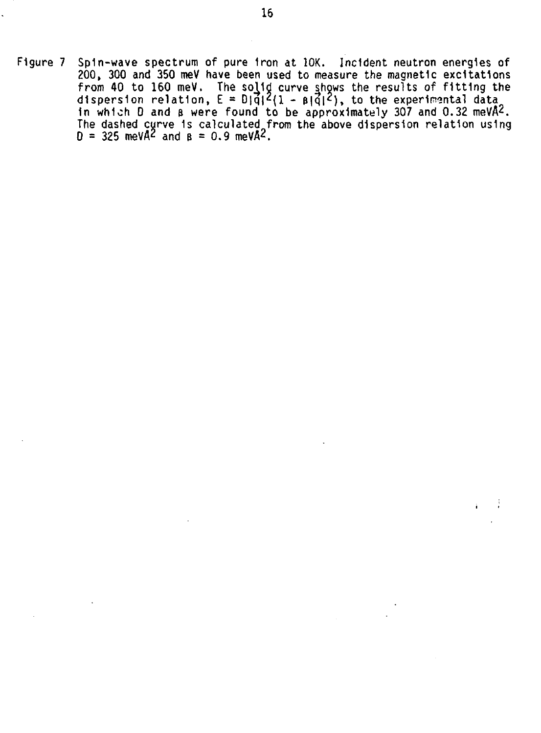**Figure 7 Spin-wave spectrum of pure Iron at 10K. Incident neutron energies of 200, 300 and 350 meV have been used to measure the magnetic excitations from 40 to 160 meV. The solid curve shows the results of fitting the dispersion relation, E = D|q|2(i - &|q|'), to the experimental data In which 0 and s were found to be approximately 307 and 0.32 meVA^. The dashed curve 1s calculated from the above dispersion relation using D = 325 meVA<sup>2</sup> and B = 0.9 meVA?.**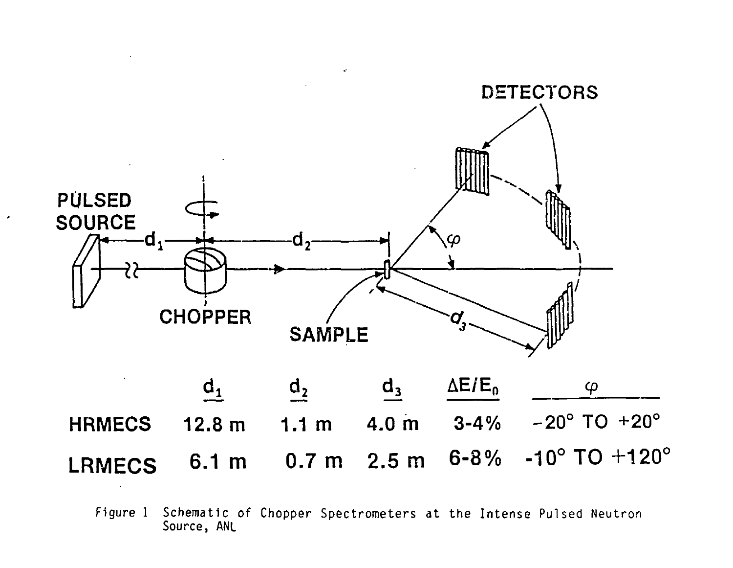

 $\overline{\phantom{a}}$ 

**Figure 1 Schematic of Chopper Spectrometers at the Intense Pulsed Neutron Source, ANL**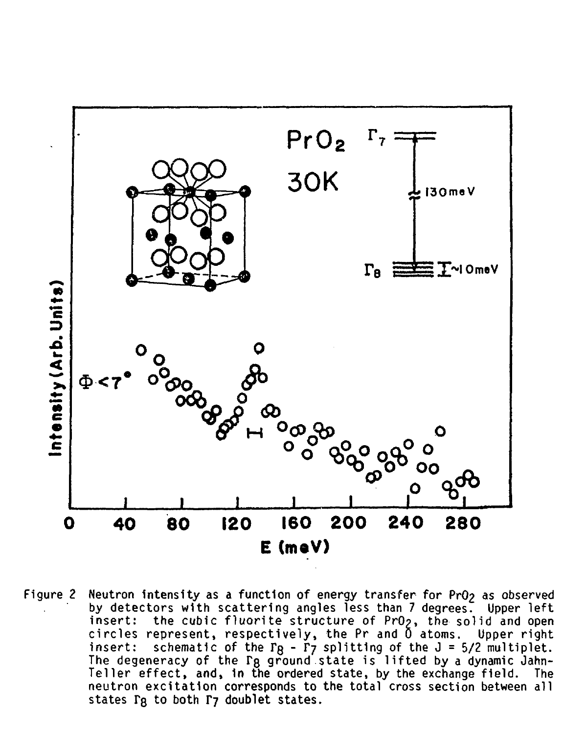

Figure 2 Neutron intensity as a function of energy transfer for PrO<sub>2</sub> as observed **by detectors with scattering angles less than 7 degrees. Upper left insert: the cubic fluorite structure of PrO?, the solid and open circles represent, respectively, the Pr and 0 atoms. Upper right insert: schematic of the FQ - Tj splitting of the J = 5/2 multiplet. The degeneracy of the TQ ground state is lifted by a dynamic Jahn-Teller effect, and, in the ordered state, by the exchange field. The neutron excitation corresponds to the total cross section between all** states  $\Gamma$ **Q** to both  $\Gamma$ **7** doublet states.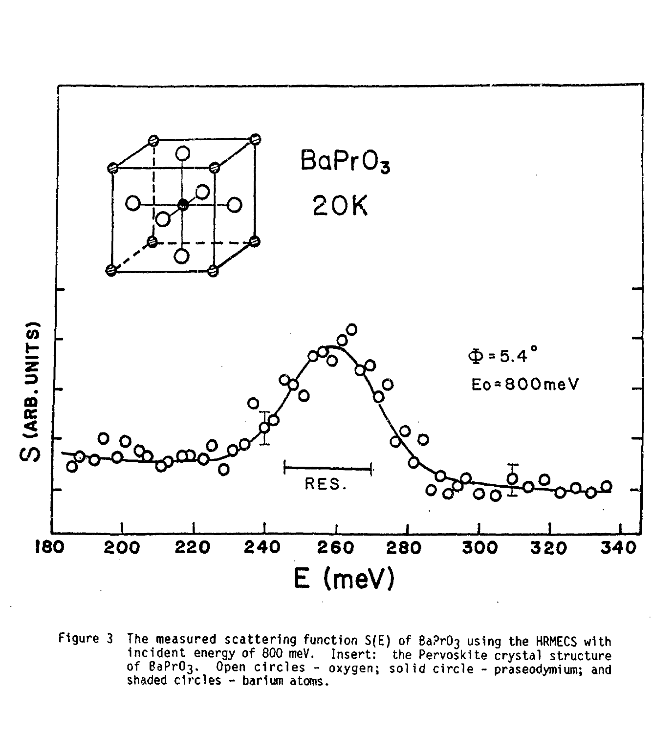

**Figure 3 The measured scattering function S(E) of Ba?rO3 using the HRMECS with incident energy of 800 meV. Insert: the Pervoskite crystal structure of BaPrO3. Open circles - oxygen; solid circle - praseodymium; and shaded circles - barium atoms.**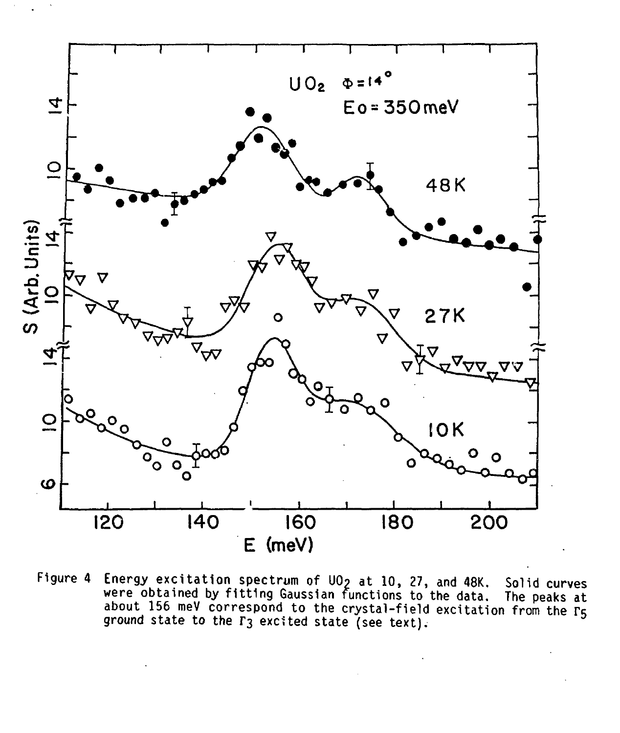

Figure 4 Energy excitation spectrum of UO? at 10, 27, and 48K. Solid curves were obtained by fitting Gaussian functions to the data. The peaks at were obtained by fitting Gaussian functions to the data. The peaks at<br>about 156 meV correspond to the crystal-field excitation from the F5 ground state to the T3 excited state (see text).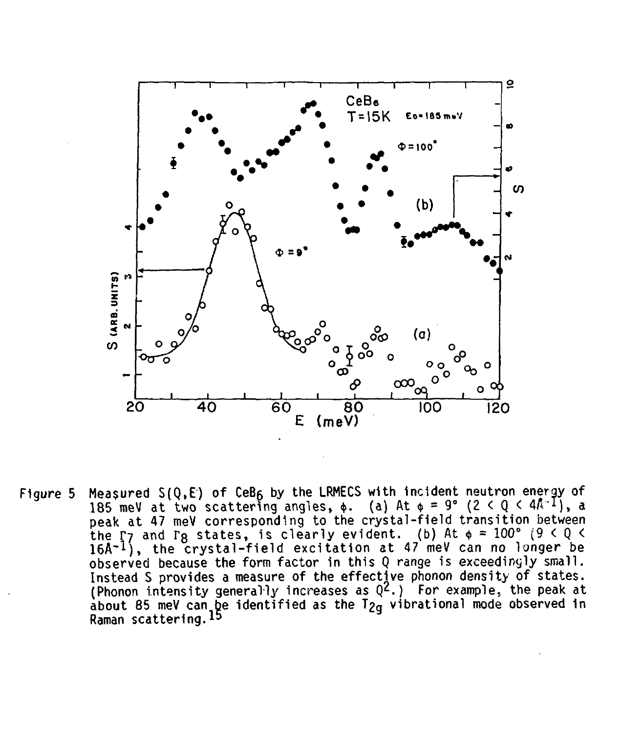

Figure 5 Measured  $S(Q, E)$  of  $CeB<sub>6</sub>$  by the LRMECS with incident neutron energy of 185 meV at two scattering angles,  $\phi$ . (a) At  $\phi = 9^{\circ}$  (2 < Q < 4A I), a peak at 47 meV corresponding to the crystal-field transition between the  $\Gamma$ 7 and  $\Gamma$ g states, is clearly evident. (b) At  $\phi$  = 100° (9 < 0 <  $16$ Å $^{-1}$ ), the crystal-field excitation at 47 meV can no longer be observed because the form factor in this Q range is exceedingly small. Instead S provides a measure of the effective phonon density of states. (Phonon intensity generally increases as  $Q^2$ .) For example, the peak at about 85 meV can  $\tilde{\mathbf{p}}$ e identified as the T $_{2\mathbf{g}}$  vibrational mode observed in Raman scattering.<sup>13</sup>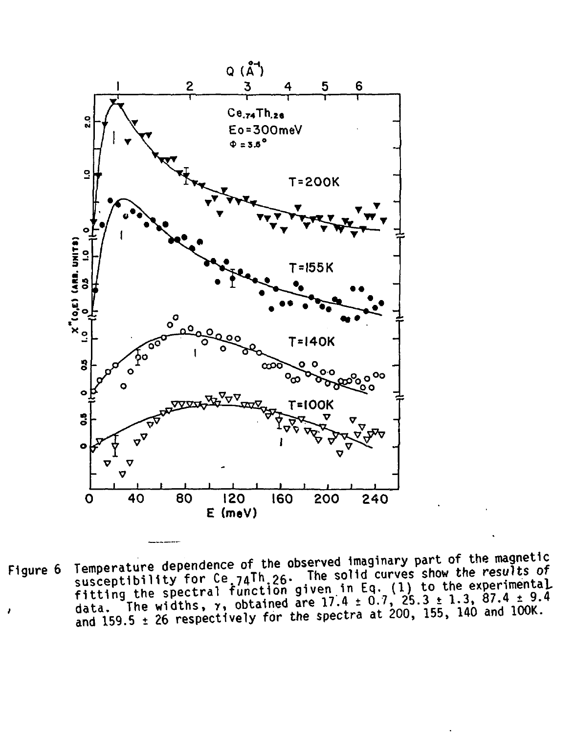

**Figure 6** Temperature dependence of the observed imaginary part of the magnetic susceptibility for Ce  $74\text{Th}$  26. The solid curves show the results of fitting the spectral function given in Eq. (1) to the experimental